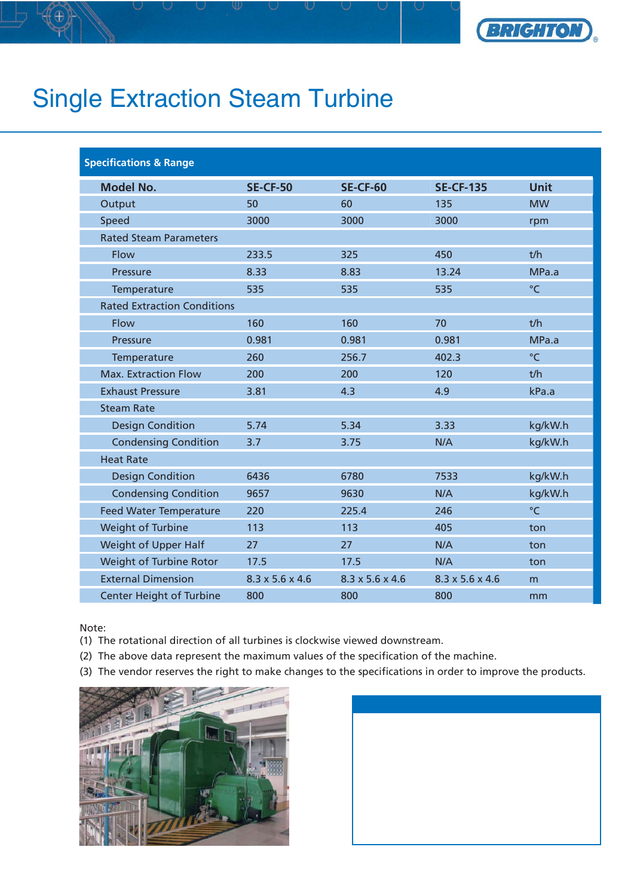

## Single Extraction Steam Turbine

| <b>Specifications &amp; Range</b> |  |  |
|-----------------------------------|--|--|
|                                   |  |  |

| <b>Model No.</b>                   | <b>SE-CF-50</b> | <b>SE-CF-60</b> | <b>SE-CF-135</b> | <b>Unit</b> |
|------------------------------------|-----------------|-----------------|------------------|-------------|
| Output                             | 50              | 60              | 135              | <b>MW</b>   |
| Speed                              | 3000            | 3000            | 3000             | rpm         |
| <b>Rated Steam Parameters</b>      |                 |                 |                  |             |
| Flow                               | 233.5           | 325             | 450              | t/h         |
| Pressure                           | 8.33            | 8.83            | 13.24            | MPa.a       |
| Temperature                        | 535             | 535             | 535              | $\degree$ C |
| <b>Rated Extraction Conditions</b> |                 |                 |                  |             |
| Flow                               | 160             | 160             | 70               | t/h         |
| Pressure                           | 0.981           | 0.981           | 0.981            | MPa.a       |
| Temperature                        | 260             | 256.7           | 402.3            | $\degree$ C |
| <b>Max. Extraction Flow</b>        | 200             | 200             | 120              | t/h         |
| <b>Exhaust Pressure</b>            | 3.81            | 4.3             | 4.9              | kPa.a       |
| <b>Steam Rate</b>                  |                 |                 |                  |             |
| <b>Design Condition</b>            | 5.74            | 5.34            | 3.33             | kg/kW.h     |
| <b>Condensing Condition</b>        | 3.7             | 3.75            | N/A              | kg/kW.h     |
| <b>Heat Rate</b>                   |                 |                 |                  |             |
| <b>Design Condition</b>            | 6436            | 6780            | 7533             | kg/kW.h     |
| <b>Condensing Condition</b>        | 9657            | 9630            | N/A              | kg/kW.h     |
| <b>Feed Water Temperature</b>      | 220             | 225.4           | 246              | $\circ$ C   |
| Weight of Turbine                  | 113             | 113             | 405              | ton         |
| Weight of Upper Half               | 27              | 27              | N/A              | ton         |
| Weight of Turbine Rotor            | 17.5            | 17.5            | N/A              | ton         |
| <b>External Dimension</b>          | 8.3 x 5.6 x 4.6 | 8.3 x 5.6 x 4.6 | 8.3 x 5.6 x 4.6  | m           |
| <b>Center Height of Turbine</b>    | 800             | 800             | 800              | mm          |

Note:

- (1) The rotational direction of all turbines is clockwise viewed downstream.
- (2) The above data represent the maximum values of the specification of the machine.
- (3) The vendor reserves the right to make changes to the specifications in order to improve the products.